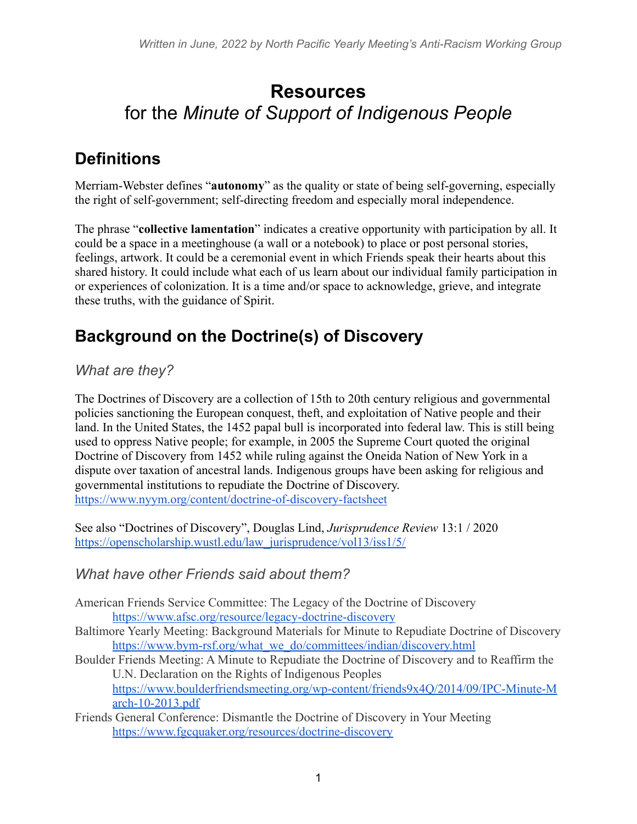# **Resources** for the *Minute of Support of Indigenous People*

# **Definitions**

Merriam-Webster defines "**autonomy**" as the quality or state of being self-governing, especially the right of self-government; self-directing freedom and especially moral independence.

The phrase "**collective lamentation**" indicates a creative opportunity with participation by all. It could be a space in a meetinghouse (a wall or a notebook) to place or post personal stories, feelings, artwork. It could be a ceremonial event in which Friends speak their hearts about this shared history. It could include what each of us learn about our individual family participation in or experiences of colonization. It is a time and/or space to acknowledge, grieve, and integrate these truths, with the guidance of Spirit.

# **Background on the Doctrine(s) of Discovery**

### *What are they?*

The Doctrines of Discovery are a collection of 15th to 20th century religious and governmental policies sanctioning the European conquest, theft, and exploitation of Native people and their land. In the United States, the 1452 papal bull is incorporated into federal law. This is still being used to oppress Native people; for example, in 2005 the Supreme Court quoted the original Doctrine of Discovery from 1452 while ruling against the Oneida Nation of New York in a dispute over taxation of ancestral lands. Indigenous groups have been asking for religious and governmental institutions to repudiate the Doctrine of Discovery. <https://www.nyym.org/content/doctrine-of-discovery-factsheet>

See also "Doctrines of Discovery", Douglas Lind, *Jurisprudence Review* 13:1 / 2020 [https://openscholarship.wustl.edu/law\\_jurisprudence/vol13/iss1/5/](https://openscholarship.wustl.edu/law_jurisprudence/vol13/iss1/5/)

### *What have other Friends said about them?*

- American Friends Service Committee: The Legacy of the Doctrine of Discovery <https://www.afsc.org/resource/legacy-doctrine-discovery>
- Baltimore Yearly Meeting: Background Materials for Minute to Repudiate Doctrine of Discovery [https://www.bym-rsf.org/what\\_we\\_do/committees/indian/discovery.html](https://www.bym-rsf.org/what_we_do/committees/indian/discovery.html)
- Boulder Friends Meeting: A Minute to Repudiate the Doctrine of Discovery and to Reaffirm the U.N. Declaration on the Rights of Indigenous Peoples [https://www.boulderfriendsmeeting.org/wp-content/friends9x4Q/2014/09/IPC-Minute-M](https://www.boulderfriendsmeeting.org/wp-content/friends9x4Q/2014/09/IPC-Minute-March-10-2013.pdf) [arch-10-2013.pdf](https://www.boulderfriendsmeeting.org/wp-content/friends9x4Q/2014/09/IPC-Minute-March-10-2013.pdf)
- Friends General Conference: Dismantle the Doctrine of Discovery in Your Meeting <https://www.fgcquaker.org/resources/doctrine-discovery>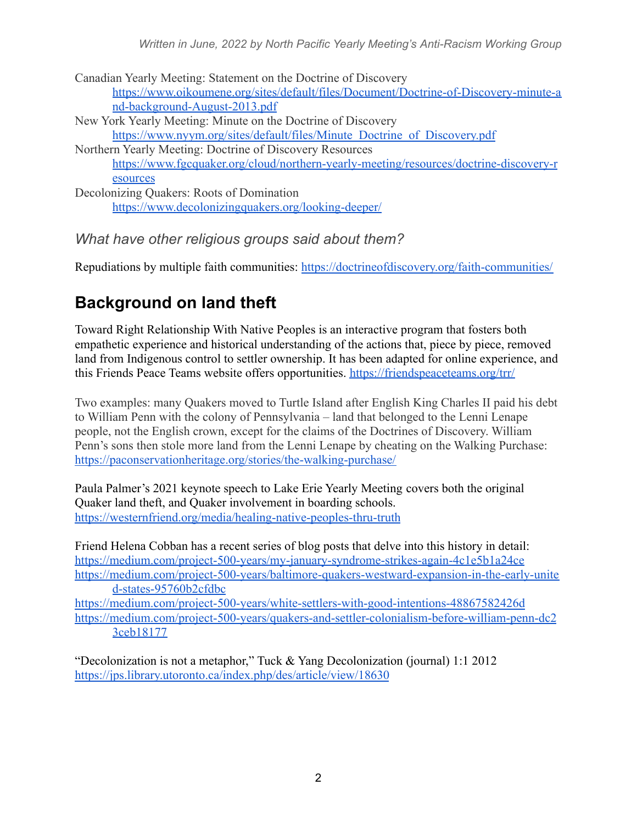*Written in June, 2022 by North Pacific Yearly Meeting's Anti-Racism Working Group*

Canadian Yearly Meeting: Statement on the Doctrine of Discovery [https://www.oikoumene.org/sites/default/files/Document/Doctrine-of-Discovery-minute-a](https://www.oikoumene.org/sites/default/files/Document/Doctrine-of-Discovery-minute-and-background-August-2013.pdf) [nd-background-August-2013.pdf](https://www.oikoumene.org/sites/default/files/Document/Doctrine-of-Discovery-minute-and-background-August-2013.pdf) New York Yearly Meeting: Minute on the Doctrine of Discovery [https://www.nyym.org/sites/default/files/Minute\\_Doctrine\\_of\\_Discovery.pdf](https://www.nyym.org/sites/default/files/Minute_Doctrine_of_Discovery.pdf) Northern Yearly Meeting: Doctrine of Discovery Resources [https://www.fgcquaker.org/cloud/northern-yearly-meeting/resources/doctrine-discovery-r](https://www.fgcquaker.org/cloud/northern-yearly-meeting/resources/doctrine-discovery-resources) [esources](https://www.fgcquaker.org/cloud/northern-yearly-meeting/resources/doctrine-discovery-resources)

Decolonizing Quakers: Roots of Domination <https://www.decolonizingquakers.org/looking-deeper/>

*What have other religious groups said about them?*

Repudiations by multiple faith communities: <https://doctrineofdiscovery.org/faith-communities/>

## **Background on land theft**

Toward Right Relationship With Native Peoples is an interactive program that fosters both empathetic experience and historical understanding of the actions that, piece by piece, removed land from Indigenous control to settler ownership. It has been adapted for online experience, and this Friends Peace Teams website offers opportunities. <https://friendspeaceteams.org/trr/>

Two examples: many Quakers moved to Turtle Island after English King Charles II paid his debt to William Penn with the colony of Pennsylvania – land that belonged to the Lenni Lenape people, not the English crown, except for the claims of the Doctrines of Discovery. William Penn's sons then stole more land from the Lenni Lenape by cheating on the Walking Purchase: <https://paconservationheritage.org/stories/the-walking-purchase/>

Paula Palmer's 2021 keynote speech to Lake Erie Yearly Meeting covers both the original Quaker land theft, and Quaker involvement in boarding schools. <https://westernfriend.org/media/healing-native-peoples-thru-truth>

Friend Helena Cobban has a recent series of blog posts that delve into this history in detail: <https://medium.com/project-500-years/my-january-syndrome-strikes-again-4c1e5b1a24ce> [https://medium.com/project-500-years/baltimore-quakers-westward-expansion-in-the-early-unite](https://medium.com/project-500-years/baltimore-quakers-westward-expansion-in-the-early-united-states-95760b2cfdbc) [d-states-95760b2cfdbc](https://medium.com/project-500-years/baltimore-quakers-westward-expansion-in-the-early-united-states-95760b2cfdbc)

<https://medium.com/project-500-years/white-settlers-with-good-intentions-48867582426d> [https://medium.com/project-500-years/quakers-and-settler-colonialism-before-william-penn-dc2](https://medium.com/project-500-years/quakers-and-settler-colonialism-before-william-penn-dc23ceb18177) [3ceb18177](https://medium.com/project-500-years/quakers-and-settler-colonialism-before-william-penn-dc23ceb18177)

"Decolonization is not a metaphor," Tuck & Yang Decolonization (journal) 1:1 2012 <https://jps.library.utoronto.ca/index.php/des/article/view/18630>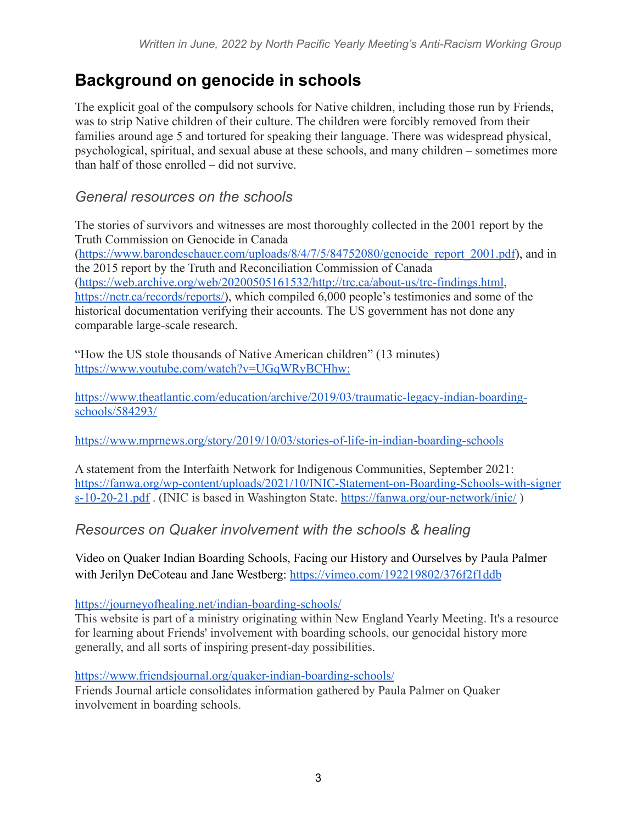## **Background on genocide in schools**

The explicit goal of the compulsory schools for Native children, including those run by Friends, was to strip Native children of their culture. The children were forcibly removed from their families around age 5 and tortured for speaking their language. There was widespread physical, psychological, spiritual, and sexual abuse at these schools, and many children – sometimes more than half of those enrolled – did not survive.

#### *General resources on the schools*

The stories of survivors and witnesses are most thoroughly collected in the 2001 report by the Truth Commission on Genocide in Canada ([https://www.barondeschauer.com/uploads/8/4/7/5/84752080/genocide\\_report\\_2001.pdf](https://www.barondeschauer.com/uploads/8/4/7/5/84752080/genocide_report_2001.pdf)), and in the 2015 report by the Truth and Reconciliation Commission of Canada (<https://web.archive.org/web/20200505161532/http://trc.ca/about-us/trc-findings.html>, [https://nctr.ca/records/reports/\)](https://nctr.ca/records/reports/), which compiled 6,000 people's testimonies and some of the historical documentation verifying their accounts. The US government has not done any comparable large-scale research.

"How the US stole thousands of Native American children" (13 minutes) <https://www.youtube.com/watch?v=UGqWRyBCHhw:>

[https://www.theatlantic.com/education/archive/2019/03/traumatic-legacy-indian-boarding](https://www.theatlantic.com/education/archive/2019/03/traumatic-legacy-indian-boarding-schools/584293/)[schools/584293/](https://www.theatlantic.com/education/archive/2019/03/traumatic-legacy-indian-boarding-schools/584293/)

<https://www.mprnews.org/story/2019/10/03/stories-of-life-in-indian-boarding-schools>

A statement from the Interfaith Network for Indigenous Communities, September 2021: [https://fanwa.org/wp-content/uploads/2021/10/INIC-Statement-on-Boarding-Schools-with-signer](https://fanwa.org/wp-content/uploads/2021/10/INIC-Statement-on-Boarding-Schools-with-signers-10-20-21.pdf) [s-10-20-21.pdf](https://fanwa.org/wp-content/uploads/2021/10/INIC-Statement-on-Boarding-Schools-with-signers-10-20-21.pdf) . (INIC is based in Washington State. <https://fanwa.org/our-network/inic/> )

*Resources on Quaker involvement with the schools & healing*

Video on Quaker Indian Boarding Schools, Facing our History and Ourselves by Paula Palmer with Jerilyn DeCoteau and Jane Westberg: <https://vimeo.com/192219802/376f2f1ddb>

<https://journeyofhealing.net/indian-boarding-schools/>

This website is part of a ministry originating within New England Yearly Meeting. It's a resource for learning about Friends' involvement with boarding schools, our genocidal history more generally, and all sorts of inspiring present-day possibilities.

<https://www.friendsjournal.org/quaker-indian-boarding-schools/>

Friends Journal article consolidates information gathered by Paula Palmer on Quaker involvement in boarding schools.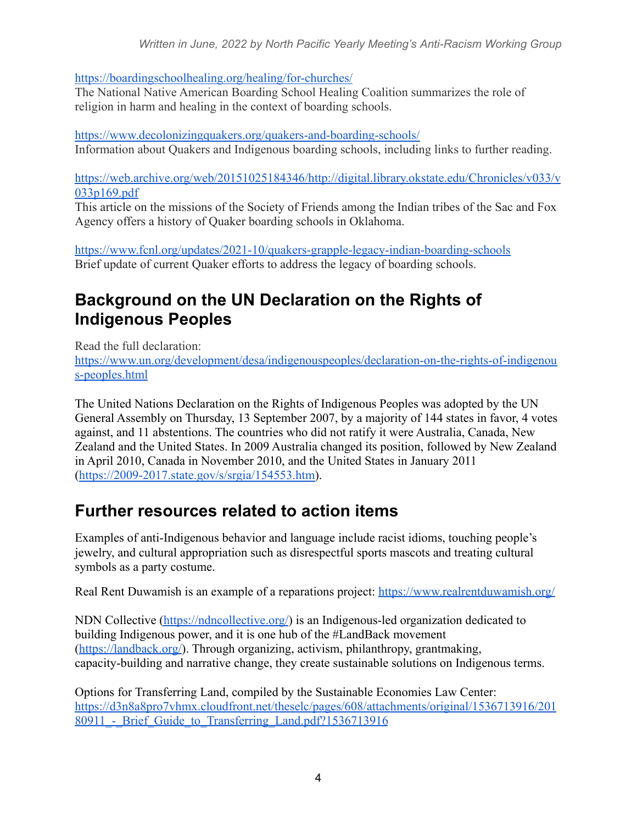<https://boardingschoolhealing.org/healing/for-churches/>

The National Native American Boarding School Healing Coalition summarizes the role of religion in harm and healing in the context of boarding schools.

<https://www.decolonizingquakers.org/quakers-and-boarding-schools/> Information about Quakers and Indigenous boarding schools, including links to further reading.

h[ttps://web.archive.org/web/20151025184346/http://digital.library.okstate.edu/Chronicles/v033/v](https://web.archive.org/web/20151025184346/http://digital.library.okstate.edu/Chronicles/v033/v033p169.pdf) [033p169.pdf](https://web.archive.org/web/20151025184346/http://digital.library.okstate.edu/Chronicles/v033/v033p169.pdf)

This article on the missions of the Society of Friends among the Indian tribes of the Sac and Fox Agency offers a history of Quaker boarding schools in Oklahoma.

<https://www.fcnl.org/updates/2021-10/quakers-grapple-legacy-indian-boarding-schools> Brief update of current Quaker efforts to address the legacy of boarding schools.

### **Background on the UN Declaration on the Rights of Indigenous Peoples**

Read the full declaration: [https://www.un.org/development/desa/indigenouspeoples/declaration-on-the-rights-of-indigenou](https://www.un.org/development/desa/indigenouspeoples/declaration-on-the-rights-of-indigenous-peoples.html) [s-peoples.html](https://www.un.org/development/desa/indigenouspeoples/declaration-on-the-rights-of-indigenous-peoples.html)

The United Nations Declaration on the Rights of Indigenous Peoples was adopted by the UN General Assembly on Thursday, 13 September 2007, by a majority of 144 states in favor, 4 votes against, and 11 abstentions. The countries who did not ratify it were Australia, Canada, New Zealand and the United States. In 2009 Australia changed its position, followed by New Zealand in April 2010, Canada in November 2010, and the United States in January 2011 ([https://2009-2017.state.gov/s/srgia/154553.htm\)](https://2009-2017.state.gov/s/srgia/154553.htm).

# **Further resources related to action items**

Examples of anti-Indigenous behavior and language include racist idioms, touching people's jewelry, and cultural appropriation such as disrespectful sports mascots and treating cultural symbols as a party costume.

Real Rent Duwamish is an example of a reparations project: <https://www.realrentduwamish.org/>

NDN Collective [\(https://ndncollective.org/](https://ndncollective.org/)) is an Indigenous-led organization dedicated to building Indigenous power, and it is one hub of the #LandBack movement ([https://landback.org/\)](https://landback.org/). Through organizing, activism, philanthropy, grantmaking, capacity-building and narrative change, they create sustainable solutions on Indigenous terms.

Options for Transferring Land, compiled by the Sustainable Economies Law Center: [https://d3n8a8pro7vhmx.cloudfront.net/theselc/pages/608/attachments/original/1536713916/201](https://d3n8a8pro7vhmx.cloudfront.net/theselc/pages/608/attachments/original/1536713916/20180911_-_Brief_Guide_to_Transferring_Land.pdf?1536713916) 80911 - Brief Guide to Transferring Land.pdf?1536713916